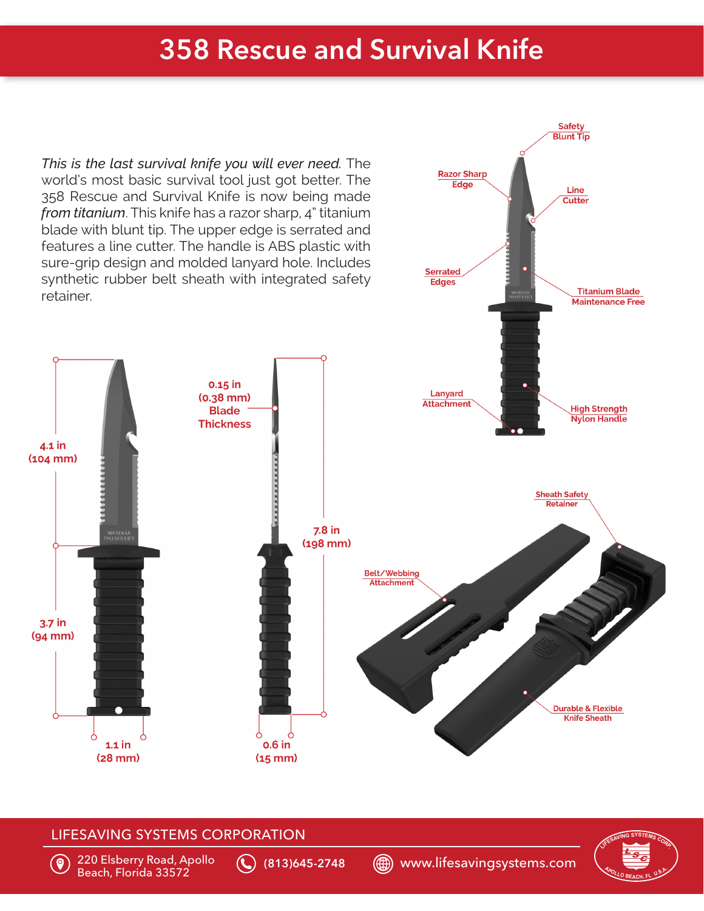*This is the last survival knife you will ever need.* The world's most basic survival tool just got better. The 358 Rescue and Survival Knife is now being made from titanium. This knife has a razor sharp, 4" titanium blade with blunt tip. The upper edge is serrated and features a line cutter. The handle is ABS plastic with sure-grip design and molded lanyard hole. Includes synthetic rubber belt sheath with integrated safety retainer.



## LIFESAVING SYSTEMS CORPORATION

 $4.1$  in  $(104$  mm $)$ 

 $3.7$  in  $(94$  mm $)$ 

 $\bullet$ 

**SWELSAS**<br>MIAVSEHT

 $1.1$  in

 $(28$  mm $)$